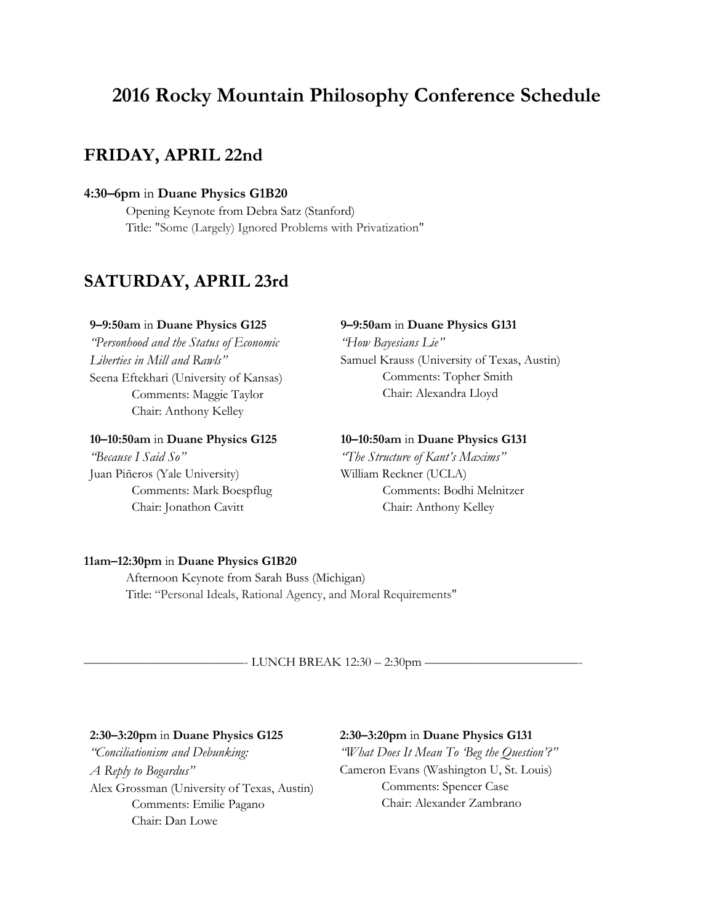# **2016 Rocky Mountain Philosophy Conference Schedule**

## **FRIDAY, APRIL 22nd**

#### **4:30–6pm** in **Duane Physics G1B20**

Opening Keynote from Debra Satz (Stanford) Title: "Some (Largely) Ignored Problems with Privatization"

## **SATURDAY, APRIL 23rd**

#### **9–9:50am** in **Duane Physics G125**

*"Personhood and the Status of Economic Liberties in Mill and Rawls"* Seena Eftekhari (University of Kansas) Comments: Maggie Taylor Chair: Anthony Kelley

#### **10–10:50am** in **Duane Physics G125**

*"Because I Said So"* Juan Piñeros (Yale University) Comments: Mark Boespflug Chair: Jonathon Cavitt

## **9–9:50am** in **Duane Physics G131**

*"How Bayesians Lie"* Samuel Krauss (University of Texas, Austin) Comments: Topher Smith Chair: Alexandra Lloyd

#### **10–10:50am** in **Duane Physics G131**

*"The Structure of Kant's Maxims"* William Reckner (UCLA) Comments: Bodhi Melnitzer Chair: Anthony Kelley

#### **11am–12:30pm** in **Duane Physics G1B20**

Afternoon Keynote from Sarah Buss (Michigan) Title: "Personal Ideals, Rational Agency, and Moral Requirements"

–––––––––––––––––––––––––- LUNCH BREAK 12:30 – 2:30pm ––––––––––––––––––––––––-

#### **2:30–3:20pm** in **Duane Physics G125**

*"Conciliationism and Debunking: A Reply to Bogardus"* Alex Grossman (University of Texas, Austin) Comments: Emilie Pagano Chair: Dan Lowe

#### **2:30–3:20pm** in **Duane Physics G131**

*"What Does It Mean To 'Beg the Question'?"* Cameron Evans (Washington U, St. Louis) Comments: Spencer Case Chair: Alexander Zambrano